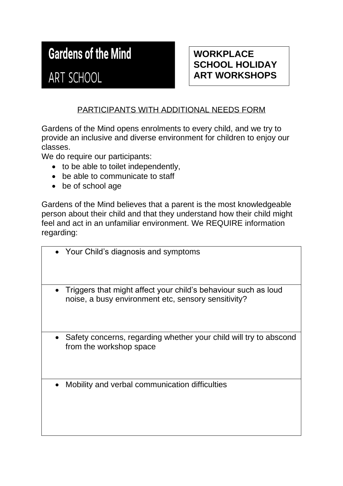## **Gardens of the Mind**

## ART SCHOOL

### **WORKPLACE SCHOOL HOLIDAY ART WORKSHOPS**

#### PARTICIPANTS WITH ADDITIONAL NEEDS FORM

Gardens of the Mind opens enrolments to every child, and we try to provide an inclusive and diverse environment for children to enjoy our classes.

We do require our participants:

- to be able to toilet independently,
- be able to communicate to staff
- be of school age

Gardens of the Mind believes that a parent is the most knowledgeable person about their child and that they understand how their child might feel and act in an unfamiliar environment. We REQUIRE information regarding:

- Your Child's diagnosis and symptoms
- Triggers that might affect your child's behaviour such as loud noise, a busy environment etc, sensory sensitivity?
- Safety concerns, regarding whether your child will try to abscond from the workshop space
- Mobility and verbal communication difficulties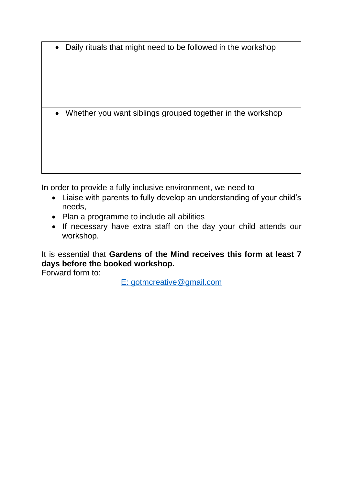• Daily rituals that might need to be followed in the workshop

• Whether you want siblings grouped together in the workshop

In order to provide a fully inclusive environment, we need to

- Liaise with parents to fully develop an understanding of your child's needs,
- Plan a programme to include all abilities
- If necessary have extra staff on the day your child attends our workshop.

It is essential that **Gardens of the Mind receives this form at least 7 days before the booked workshop.** 

Forward form to:

[E: gotmcreative@gmail.com](mailto:gotmcreative@gmail.com)